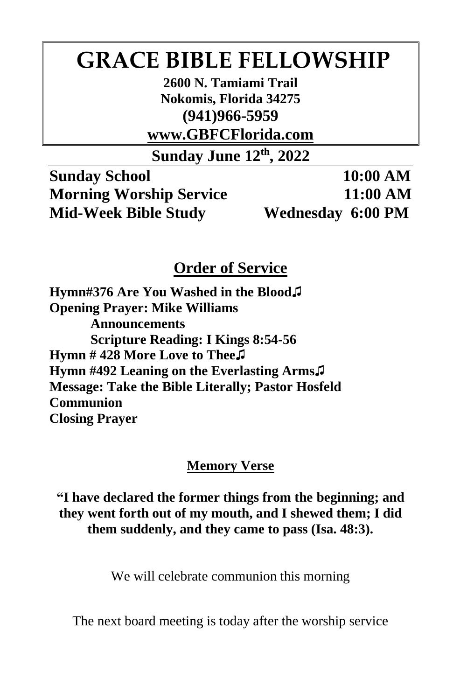# **GRACE BIBLE FELLOWSHIP**

**2600 N. Tamiami Trail Nokomis, Florida 34275 (941)966-5959**

**www.GBFCFlorida.com**

**Sunday June 12th, 2022**

**Sunday School 10:00 AM Morning Worship Service 11:00 AM Mid-Week Bible Study Wednesday 6:00 PM**

# **Order of Service**

**Hymn#376 Are You Washed in the Blood♫ Opening Prayer: Mike Williams Announcements Scripture Reading: I Kings 8:54-56 Hymn # 428 More Love to Thee♫ Hymn #492 Leaning on the Everlasting Arms♫ Message: Take the Bible Literally; Pastor Hosfeld Communion Closing Prayer**

#### **Memory Verse**

**"I have declared the former things from the beginning; and they went forth out of my mouth, and I shewed them; I did them suddenly, and they came to pass (Isa. 48:3).**

We will celebrate communion this morning

The next board meeting is today after the worship service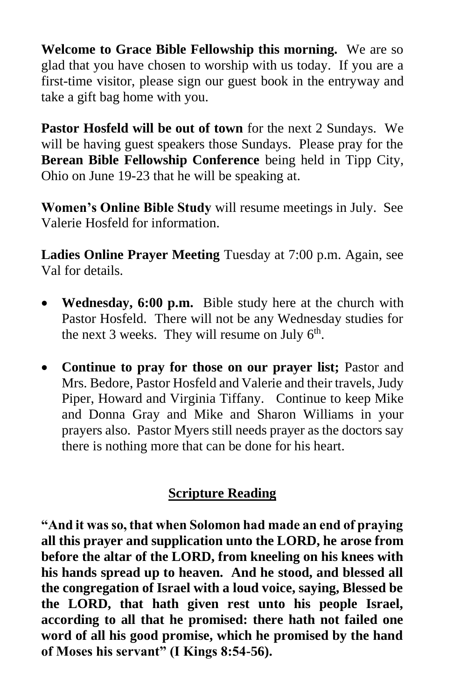**Welcome to Grace Bible Fellowship this morning.** We are so glad that you have chosen to worship with us today. If you are a first-time visitor, please sign our guest book in the entryway and take a gift bag home with you.

**Pastor Hosfeld will be out of town** for the next 2 Sundays. We will be having guest speakers those Sundays. Please pray for the **Berean Bible Fellowship Conference** being held in Tipp City, Ohio on June 19-23 that he will be speaking at.

**Women's Online Bible Study** will resume meetings in July. See Valerie Hosfeld for information.

**Ladies Online Prayer Meeting** Tuesday at 7:00 p.m. Again, see Val for details.

- **Wednesday, 6:00 p.m.** Bible study here at the church with Pastor Hosfeld. There will not be any Wednesday studies for the next 3 weeks. They will resume on July  $6<sup>th</sup>$ .
- **Continue to pray for those on our prayer list;** Pastor and Mrs. Bedore, Pastor Hosfeld and Valerie and their travels, Judy Piper, Howard and Virginia Tiffany. Continue to keep Mike and Donna Gray and Mike and Sharon Williams in your prayers also. Pastor Myers still needs prayer as the doctors say there is nothing more that can be done for his heart.

## **Scripture Reading**

**"And it was so, that when Solomon had made an end of praying all this prayer and supplication unto the LORD, he arose from before the altar of the LORD, from kneeling on his knees with his hands spread up to heaven. And he stood, and blessed all the congregation of Israel with a loud voice, saying, Blessed be the LORD, that hath given rest unto his people Israel, according to all that he promised: there hath not failed one word of all his good promise, which he promised by the hand of Moses his servant" (I Kings 8:54-56).**